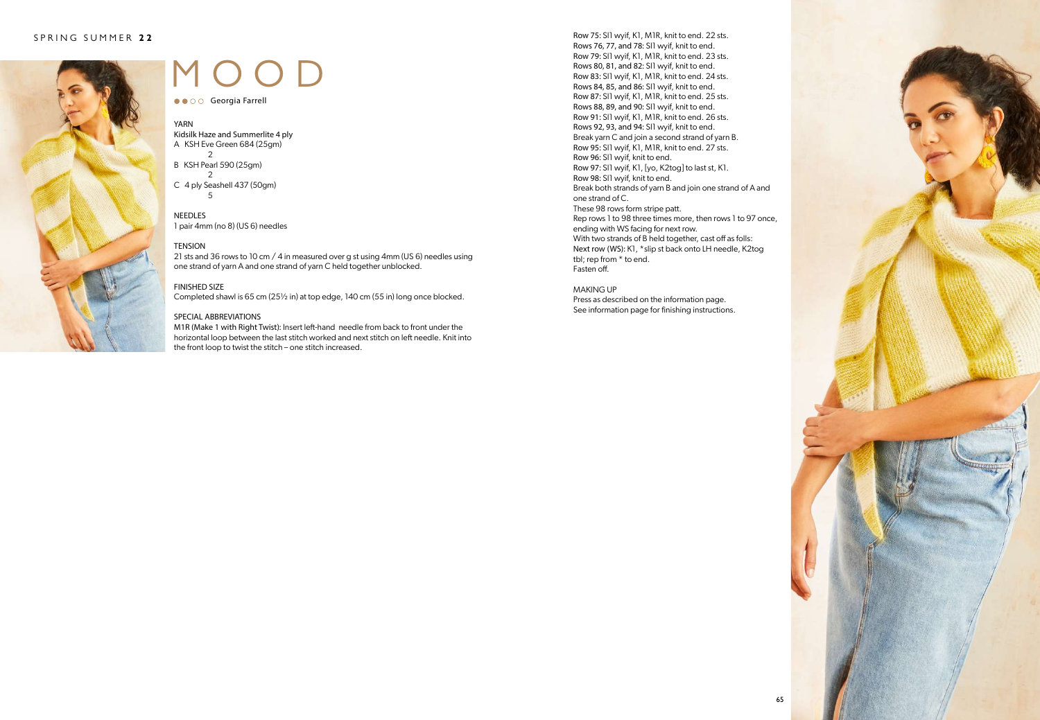

# MOOD

● ● ○ ○ Georgia Farrell

#### YARN

Kidsilk Haze and Summerlite 4 ply A KSH Eve Green 684 (25gm) 2

- B KSH Pearl 590 (25gm)  $\mathfrak{D}$
- C 4 ply Seashell 437 (50gm) 5

#### **NEEDLES**

1 pair 4mm (no 8) (US 6) needles

#### **TENSION**

21 sts and 36 rows to 10 cm / 4 in measured over g st using 4mm (US 6) needles using one strand of yarn A and one strand of yarn C held together unblocked.

#### FINISHED SIZE

Completed shawl is 65 cm (25½ in) at top edge, 140 cm (55 in) long once blocked.

#### SPECIAL ABBREVIATIONS

M1R (Make 1 with Right Twist): Insert left-hand needle from back to front under the horizontal loop between the last stitch worked and next stitch on left needle. Knit into the front loop to twist the stitch – one stitch increased.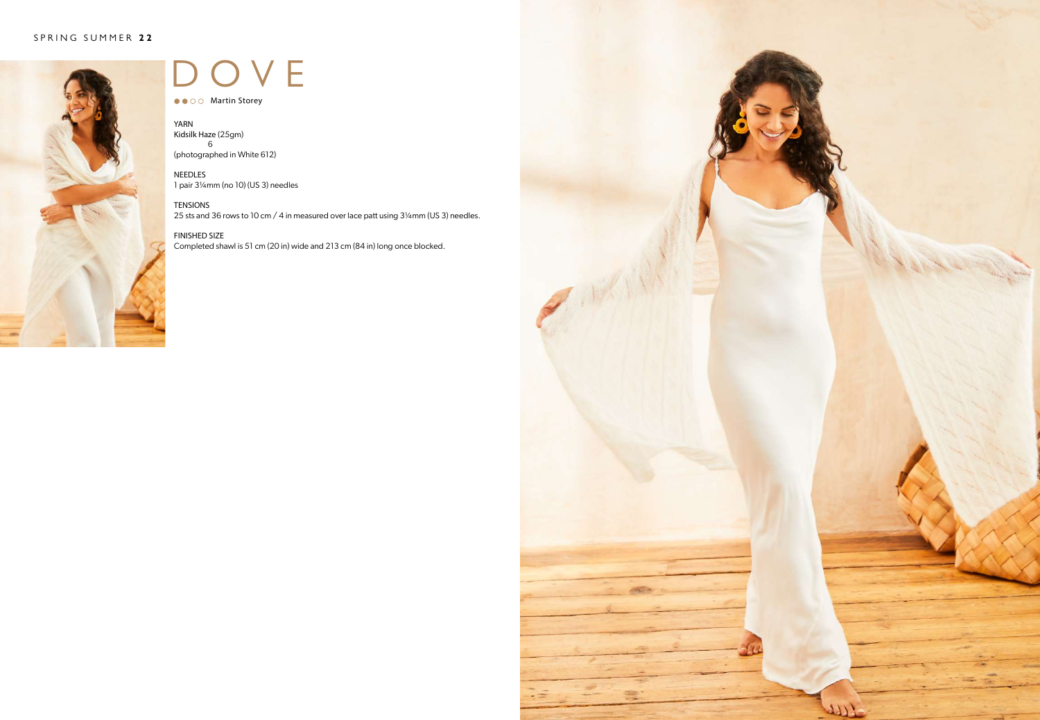

### OVE

● ● ○ ○ Martin Storey

YARN Kidsilk Haze (25gm) 6 (photographed in White 612)

NEEDLES 1 pair 3¼mm (no 10) (US 3) needles

TENSIONS 25 sts and 36 rows to 10 cm / 4 in measured over lace patt using 3¼mm (US 3) needles.

FINISHED SIZE Completed shawl is 51 cm (20 in) wide and 213 cm (84 in) long once blocked.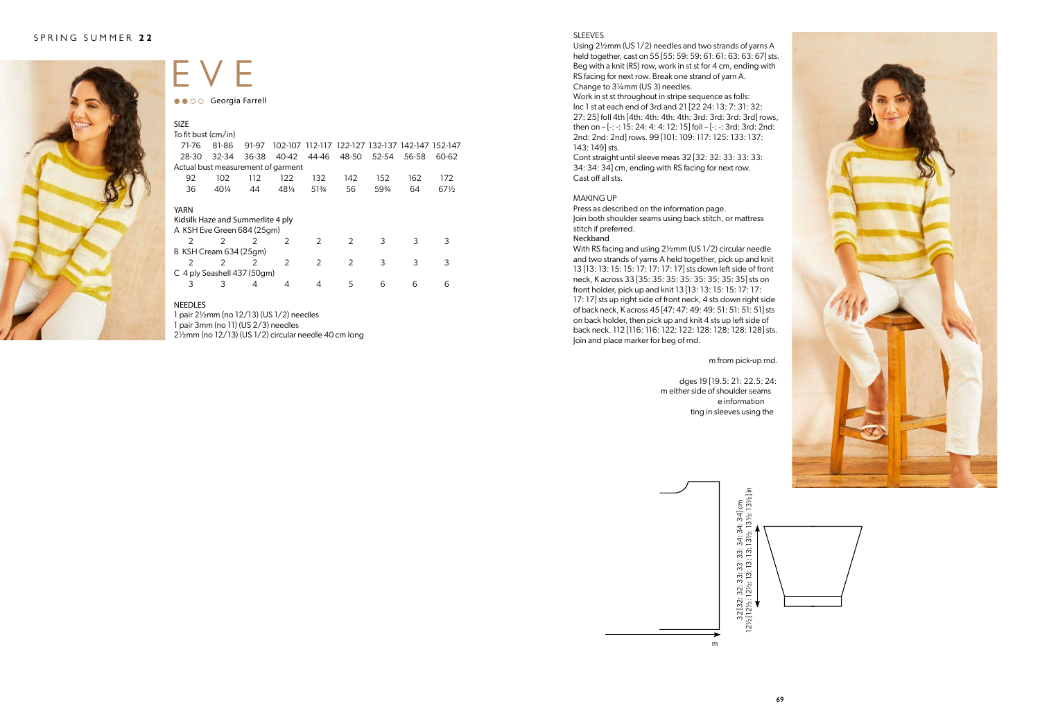

### EVE ●● ○ ○ Georgia Farrell

| <b>SIZE</b>                                                             |                 |               |               |               |                                                 |           |       |                 |
|-------------------------------------------------------------------------|-----------------|---------------|---------------|---------------|-------------------------------------------------|-----------|-------|-----------------|
| To fit bust (cm/in)                                                     |                 |               |               |               |                                                 |           |       |                 |
| 71-76                                                                   | 81-86           | 91-97         |               |               | 102-107 112-117 122-127 132-137 142-147 152-147 |           |       |                 |
| 28-30                                                                   | $32 - 34$       | 36-38         | 40-42         | 44-46         | 48-50                                           | $52 - 54$ | 56-58 | 60-62           |
| Actual bust measurement of garment                                      |                 |               |               |               |                                                 |           |       |                 |
| 92                                                                      | 102             | 112           | 122           | 132           | 142                                             | 152       | 162   | 172             |
| 36                                                                      | $40\frac{1}{4}$ | 44            | 481/4         | 513/4         | 56                                              | 59%       | 64    | $67\frac{1}{2}$ |
| YARN<br>Kidsilk Haze and Summerlite 4 ply<br>A KSH Eve Green 684 (25qm) |                 |               |               |               |                                                 |           |       |                 |
| $\mathcal{P}$                                                           | $\mathcal{P}$   | $\mathcal{P}$ | $\mathcal{P}$ | 2             | $\mathcal{P}$                                   | 3         | 3     | 3               |
| B KSH Cream 634 (25gm)                                                  |                 |               |               |               |                                                 |           |       |                 |
| 2                                                                       | $\mathcal{P}$   | $\mathcal{P}$ | $\mathcal{P}$ | $\mathcal{P}$ | $\mathcal{P}$                                   | 3         | 3     | 3               |
| C 4 ply Seashell 437 (50gm)                                             |                 |               |               |               |                                                 |           |       |                 |
| 3                                                                       | 3               | 4             | 4             | 4             | 5                                               | 6         | 6     | 6               |
|                                                                         |                 |               |               |               |                                                 |           |       |                 |

#### NEEDLES

1 pair 2½mm (no 12/13) (US 1/2) needles 1 pair 3mm (no 11) (US 2/3) needles 2½mm (no 12/13) (US 1/2) circular needle 40 cm long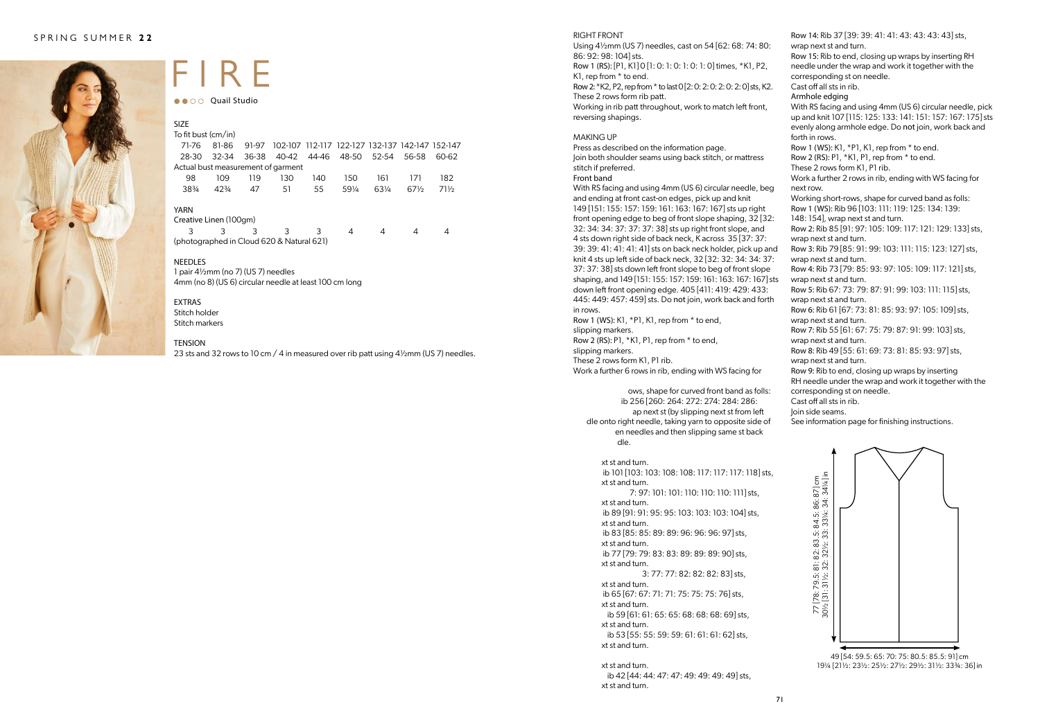

# FIRE

●● ○ ○ Quail Studio

| <b>SIZE</b><br>To fit bust (cm/in) |           |       |       |       |                                                 |       |        |        |
|------------------------------------|-----------|-------|-------|-------|-------------------------------------------------|-------|--------|--------|
|                                    |           |       |       |       |                                                 |       |        |        |
| 71-76                              | 81-86     | 91-97 |       |       | 102-107 112-117 122-127 132-137 142-147 152-147 |       |        |        |
| 28-30                              | $32 - 34$ | 36-38 | 40-42 | 44-46 | 48-50                                           | 52-54 | 56-58  | 60-62  |
| Actual bust measurement of garment |           |       |       |       |                                                 |       |        |        |
| 98                                 | 109       | 119   | 130   | 140   | 150                                             | 161   | 171    | 182    |
| 383/4                              | $42\%$    | 47    | 51    | 55    | 591/4                                           | 631/4 | $67\%$ | $71\%$ |
| <b>YARN</b>                        |           |       |       |       |                                                 |       |        |        |
| Creative Linen (100gm)             |           |       |       |       |                                                 |       |        |        |
| 3                                  |           | 3     | 3     | 3     | 4                                               |       | 4      |        |

(photographed in Cloud 620 & Natural 621)

#### NEEDLES

1 pair 4½mm (no 7) (US 7) needles 4mm (no 8) (US 6) circular needle at least 100 cm long

#### EXTRAS

Stitch holder Stitch markers

#### TENSION

23 sts and 32 rows to 10 cm / 4 in measured over rib patt using 4½mm (US 7) needles.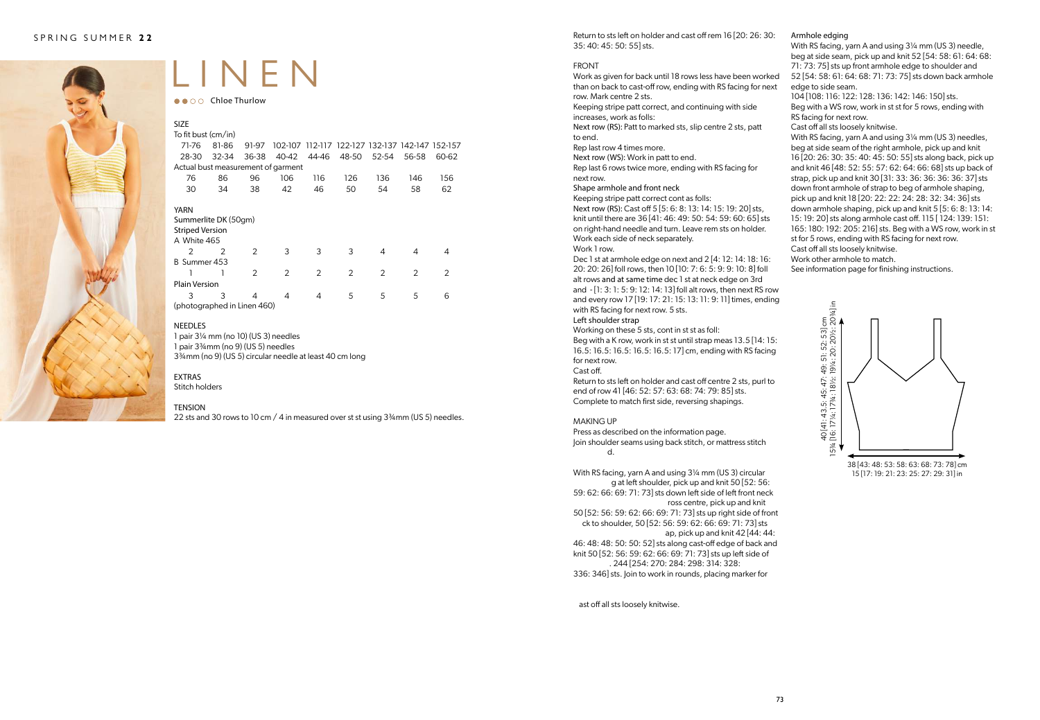

# LINEN

 $\bullet \bullet \circ \circ$  Chloe Thurlow

| <b>SIZE</b>                           |       |               |       |               |                                                 |               |       |       |
|---------------------------------------|-------|---------------|-------|---------------|-------------------------------------------------|---------------|-------|-------|
| To fit bust $\langle$ cm/in $\rangle$ |       |               |       |               |                                                 |               |       |       |
| 71-76                                 | 81-86 | 91-97         |       |               | 102-107 112-117 122-127 132-137 142-147 152-157 |               |       |       |
| 28-30                                 | 32-34 | 36-38         | 40-42 | 44-46         | 48-50                                           | 52-54         | 56-58 | 60-62 |
| Actual bust measurement of garment    |       |               |       |               |                                                 |               |       |       |
| 76                                    | 86    | 96            | 106   | 116           | 126                                             | 136           | 146   | 156   |
| 30                                    | 34    | 38            | 42    | 46            | 50                                              | 54            | 58    | 62    |
|                                       |       |               |       |               |                                                 |               |       |       |
| YARN                                  |       |               |       |               |                                                 |               |       |       |
| Summerlite DK (50gm)                  |       |               |       |               |                                                 |               |       |       |
| <b>Striped Version</b>                |       |               |       |               |                                                 |               |       |       |
| A White 465                           |       |               |       |               |                                                 |               |       |       |
| $\mathcal{P}$                         | 2     | $\mathcal{P}$ | 3     | 3             | 3                                               | 4             | 4     | 4     |
| B Summer 453                          |       |               |       |               |                                                 |               |       |       |
|                                       | 1     | $\mathcal{P}$ | 2     | $\mathcal{P}$ | $\mathcal{P}$                                   | $\mathcal{P}$ | 2     | 2     |
| <b>Plain Version</b>                  |       |               |       |               |                                                 |               |       |       |
| 3                                     | 3     | 4             | 4     | 4             | 5                                               | 5             | 5     | 6     |
| (photographed in Linen 460)           |       |               |       |               |                                                 |               |       |       |

#### NEEDLES

1 pair 3¼ mm (no 10) (US 3) needles

1 pair 3¾mm (no 9) (US 5) needles

3¾mm (no 9) (US 5) circular needle at least 40 cm long

#### EXTRAS

Stitch holders

#### TENSION

22 sts and 30 rows to 10 cm / 4 in measured over st st using 3<sup>34</sup>mm (US 5) needles.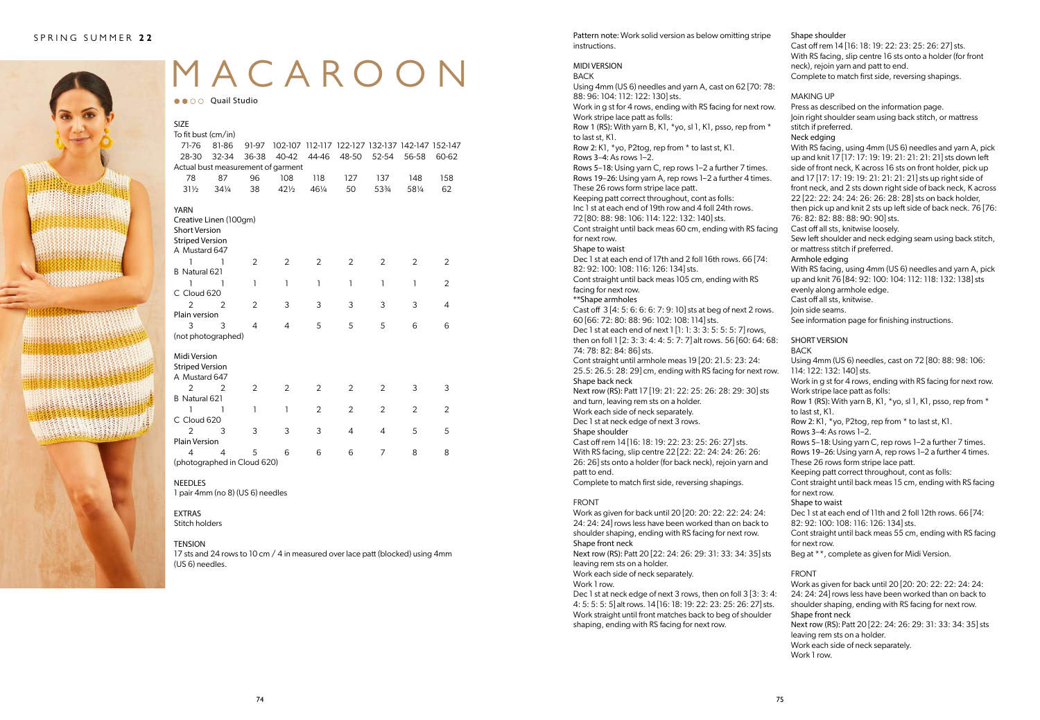

# MACAROON

●● ○ ○ Quail Studio

| <b>SIZE</b>                             |                 |                |                 |       |                                                 |                |       |       |
|-----------------------------------------|-----------------|----------------|-----------------|-------|-------------------------------------------------|----------------|-------|-------|
| To fit bust (cm/in)                     |                 |                |                 |       |                                                 |                |       |       |
| 71-76                                   | 81-86           | 91-97          |                 |       | 102-107 112-117 122-127 132-137 142-147 152-147 |                |       |       |
| 28-30                                   | 32-34           | 36-38          | 40-42           | 44-46 | 48-50                                           | 52-54          | 56-58 | 60-62 |
| Actual bust measurement of garment      |                 |                |                 |       |                                                 |                |       |       |
| 78                                      | 87              | 96             | 108             | 118   | 127                                             | 137            | 148   | 158   |
| $31\frac{1}{2}$                         | $34\frac{1}{4}$ | 38             | $42\frac{1}{2}$ | 461/4 | 50                                              | 53%            | 581/4 | 62    |
| <b>YARN</b>                             |                 |                |                 |       |                                                 |                |       |       |
| Creative Linen (100gm)                  |                 |                |                 |       |                                                 |                |       |       |
| <b>Short Version</b>                    |                 |                |                 |       |                                                 |                |       |       |
| <b>Striped Version</b><br>A Mustard 647 |                 |                |                 |       |                                                 |                |       |       |
| 1                                       |                 |                |                 |       |                                                 |                |       |       |
| B Natural 621                           | 1               | 2              | 2               | 2     | 2                                               | 2              | 2     | 2     |
| ٦                                       | ı               | 1              | ı               | 1     | ı                                               | 1              | ı     | 2     |
| C Cloud 620                             |                 |                |                 |       |                                                 |                |       |       |
| $\overline{2}$                          | 2               | 2              | 3               | 3     | 3                                               | 3              | 3     | 4     |
| Plain version                           |                 |                |                 |       |                                                 |                |       |       |
| 3                                       | 3               | 4              | 4               | 5     | 5                                               | 5              | 6     | 6     |
| (not photographed)                      |                 |                |                 |       |                                                 |                |       |       |
|                                         |                 |                |                 |       |                                                 |                |       |       |
| Midi Version                            |                 |                |                 |       |                                                 |                |       |       |
| <b>Striped Version</b>                  |                 |                |                 |       |                                                 |                |       |       |
| A Mustard 647                           |                 |                |                 |       |                                                 |                |       |       |
| $\overline{2}$                          | $\overline{2}$  | $\overline{2}$ | $\overline{2}$  | 2     | $\overline{2}$                                  | $\overline{2}$ | 3     | 3     |
| B Natural 621                           |                 |                |                 |       |                                                 |                |       |       |
| 1                                       | 1               | 1              | ı               | 2     | 2                                               | 2              | 2     | 2     |
| C Cloud 620                             |                 |                |                 |       |                                                 |                |       |       |
| $\mathcal{P}$<br><b>Plain Version</b>   | 3               | 3              | 3               | 3     | $\overline{4}$                                  | 4              | 5     | 5     |
| 4                                       | $\overline{4}$  | 5              | 6               | 6     | 6                                               | 7              | 8     |       |
| (photographed in Cloud 620)             |                 |                |                 |       |                                                 |                |       | 8     |
|                                         |                 |                |                 |       |                                                 |                |       |       |

#### NEEDLES

1 pair 4mm (no 8) (US 6) needles

#### EXTRAS

Stitch holders

#### TENSION

17 sts and 24 rows to 10 cm / 4 in measured over lace patt (blocked) using 4mm (US 6) needles.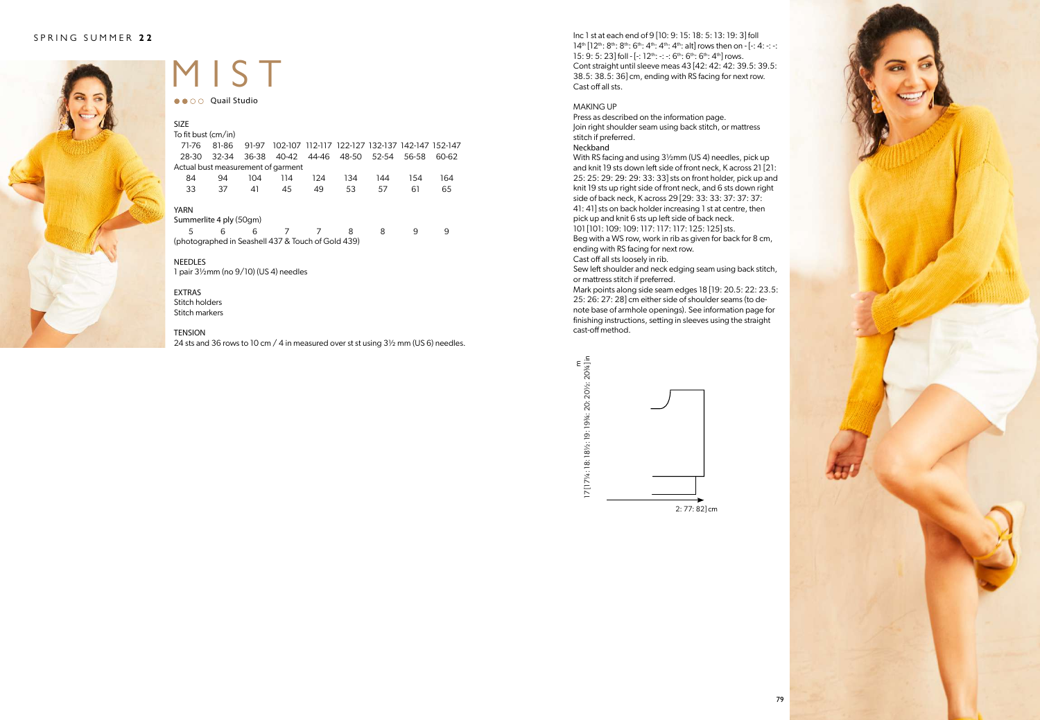

## MIST

●● ○ ○ Quail Studio

| <b>SIZE</b>                                        |           |       |       |       |                                                 |       |       |       |
|----------------------------------------------------|-----------|-------|-------|-------|-------------------------------------------------|-------|-------|-------|
| To fit bust (cm/in)                                |           |       |       |       |                                                 |       |       |       |
| 71-76                                              | 81-86     | 91-97 |       |       | 102-107 112-117 122-127 132-137 142-147 152-147 |       |       |       |
| 28-30                                              | $32 - 34$ | 36-38 | 40-42 | 44-46 | 48-50                                           | 52-54 | 56-58 | 60-62 |
| Actual bust measurement of garment                 |           |       |       |       |                                                 |       |       |       |
| 84                                                 | 94        | 104   | 114   | 124   | 134                                             | 144   | 154   | 164   |
| 33                                                 | 37        | 41    | 45    | 49    | 53                                              | 57    | 61    | 65    |
| <b>YARN</b>                                        |           |       |       |       |                                                 |       |       |       |
| Summerlite 4 ply (50gm)                            |           |       |       |       |                                                 |       |       |       |
| 5                                                  | 6         | 6     |       |       | 8                                               | 8     | 9     | 9     |
| (photographed in Seashell 437 & Touch of Gold 439) |           |       |       |       |                                                 |       |       |       |

#### NEEDLES

1 pair 3½mm (no 9/10) (US 4) needles

#### EXTRAS Stitch holders

Stitch markers

#### TENSION

24 sts and 36 rows to 10 cm / 4 in measured over st st using 3½ mm (US 6) needles.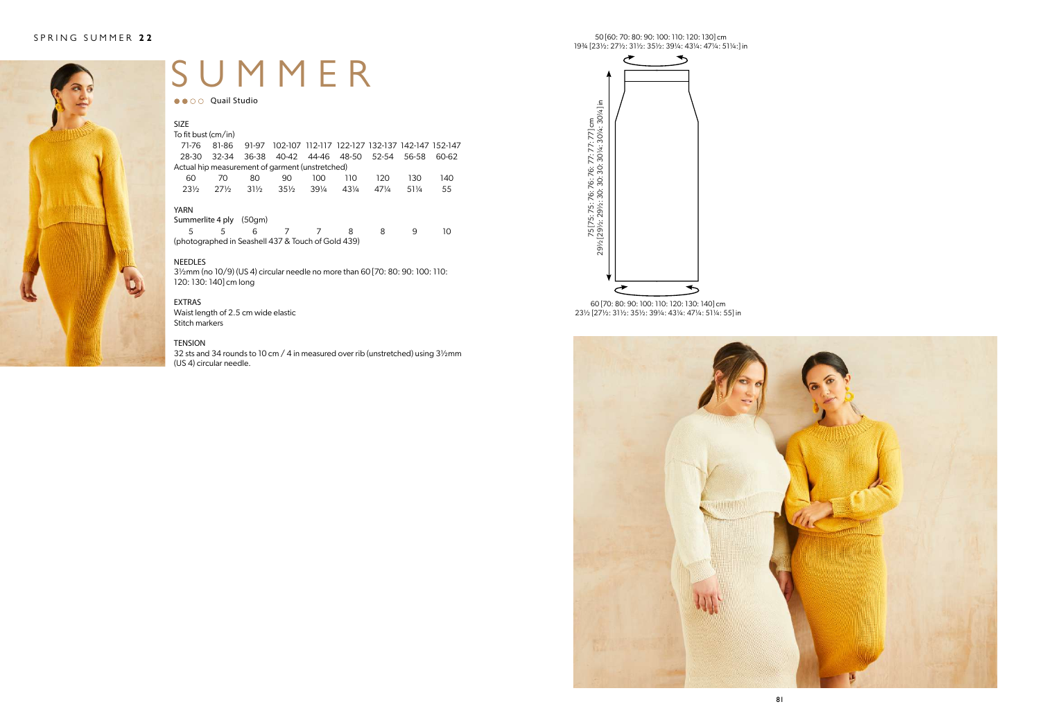

### SUMMER

●● ○ ○ Quail Studio

| <b>SIZE</b>                                        |           |        |                 |                 |                                                 |                 |       |               |
|----------------------------------------------------|-----------|--------|-----------------|-----------------|-------------------------------------------------|-----------------|-------|---------------|
| To fit bust (cm/in)                                |           |        |                 |                 |                                                 |                 |       |               |
| 71-76                                              | 81-86     | 91-97  |                 |                 | 102-107 112-117 122-127 132-137 142-147 152-147 |                 |       |               |
| 28-30                                              | $32 - 34$ | 36-38  |                 |                 | 40-42 44-46 48-50                               | 52-54           | 56-58 | 60-62         |
| Actual hip measurement of garment (unstretched)    |           |        |                 |                 |                                                 |                 |       |               |
| 60                                                 | 70        | 80     | 90              | 100             | 110                                             | 120             | 130   | 140           |
| $23\%$                                             | $27\%$    | $31\%$ | $35\frac{1}{2}$ | $39\frac{1}{4}$ | 431/4                                           | $47\frac{1}{4}$ | 511/4 | 55            |
| YARN                                               |           |        |                 |                 |                                                 |                 |       |               |
| Summerlite 4 ply                                   |           | (50gm) |                 |                 |                                                 |                 |       |               |
| 5                                                  | 5         | 6      |                 |                 | 8                                               | 8               | q     | $\mathcal{L}$ |
| (photographed in Seashell 437 & Touch of Gold 439) |           |        |                 |                 |                                                 |                 |       |               |

#### NEEDLES

3½mm (no 10/9) (US 4) circular needle no more than 60 [70: 80: 90: 100: 110: 120: 130: 140] cm long

#### EXTRAS

Waist length of 2.5 cm wide elastic Stitch markers

#### **TENSION**

32 sts and 34 rounds to 10 cm / 4 in measured over rib (unstretched) using 3½mm (US 4) circular needle.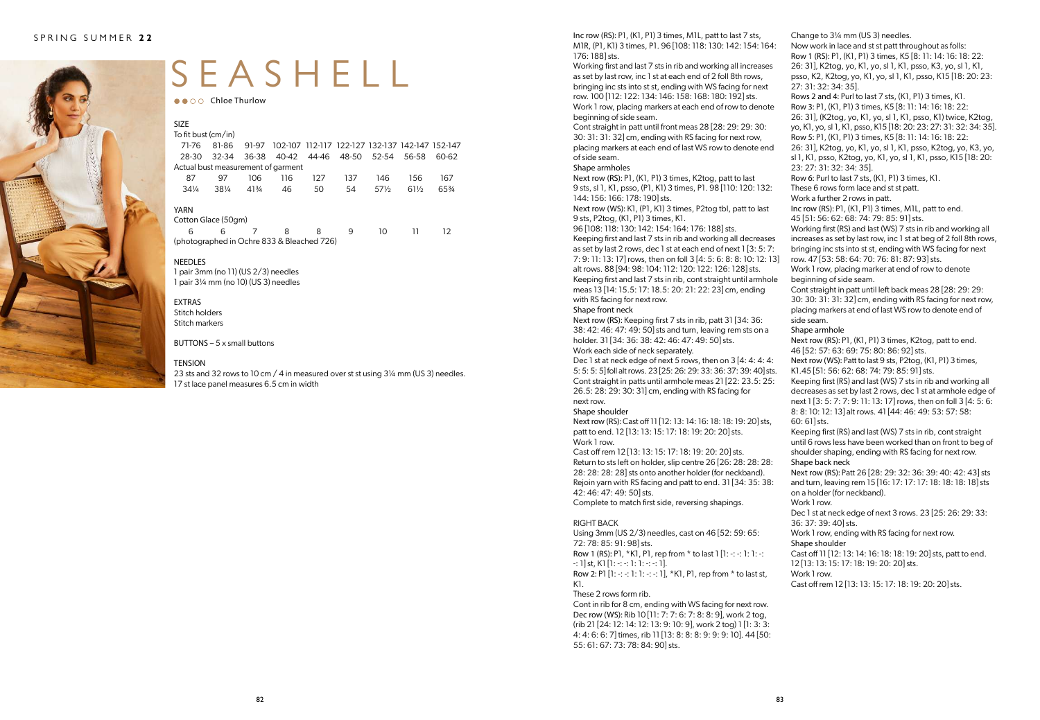

# SEASHELL

 $\bullet \bullet \circ \circ$  Chloe Thurlow

| <b>SIZE</b>                                |       |       |     |     |                                                 |                 |        |       |
|--------------------------------------------|-------|-------|-----|-----|-------------------------------------------------|-----------------|--------|-------|
| To fit bust (cm/in)                        |       |       |     |     |                                                 |                 |        |       |
| 71-76                                      | 81-86 | 91-97 |     |     | 102-107 112-117 122-127 132-137 142-147 152-147 |                 |        |       |
| 28-30                                      | 32-34 | 36-38 |     |     | 40-42 44-46 48-50 52-54                         |                 | 56-58  | 60-62 |
| Actual bust measurement of garment         |       |       |     |     |                                                 |                 |        |       |
| 87                                         | 97    | 106   | 116 | 127 | 137                                             | 146             | 156    | 167   |
| $34\frac{1}{4}$                            | 381/4 | 413/4 | 46  | 50  | 54                                              | $57\frac{1}{2}$ | $61\%$ | 65%   |
| <b>YARN</b>                                |       |       |     |     |                                                 |                 |        |       |
| Cotton Glace (50gm)                        |       |       |     |     |                                                 |                 |        |       |
| 6                                          | 6     | 7     | 8   | 8   | 9                                               | 10              | 11     | 12.   |
| (photographed in Ochre 833 & Bleached 726) |       |       |     |     |                                                 |                 |        |       |

#### NEEDLES

1 pair 3mm (no 11) (US 2/3) needles 1 pair 3¼ mm (no 10) (US 3) needles

#### EXTRAS

Stitch holders Stitch markers

BUTTONS  $-5x$  small buttons

#### TENSION

23 sts and 32 rows to 10 cm / 4 in measured over st st using 3¼ mm (US 3) needles. 17 st lace panel measures 6.5 cm in width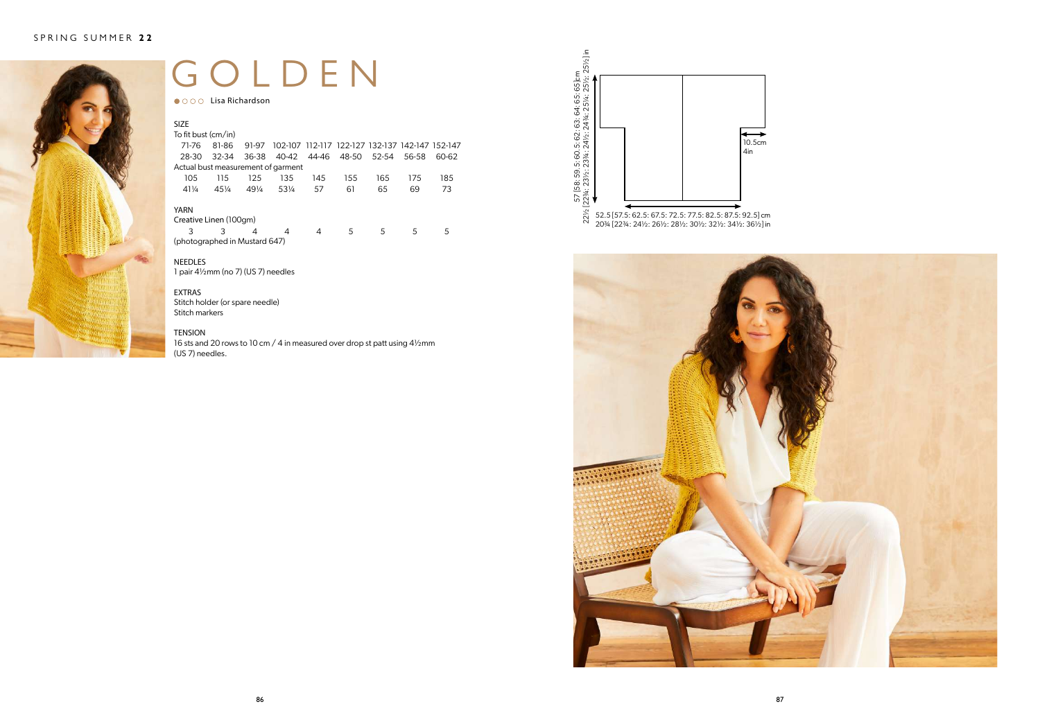

# GOLDEN

● ○ ○ ○ Lisa Richardson

| <b>SIZE</b>                                                                 |           |                 |                                    |       |                                                 |       |       |       |
|-----------------------------------------------------------------------------|-----------|-----------------|------------------------------------|-------|-------------------------------------------------|-------|-------|-------|
| To fit bust (cm/in)                                                         |           |                 |                                    |       |                                                 |       |       |       |
| 71-76                                                                       | 81-86     | 91-97           |                                    |       | 102-107 112-117 122-127 132-137 142-147 152-147 |       |       |       |
| 28-30                                                                       | $32 - 34$ | 36-38           | 40-42                              | 44-46 | 48-50                                           | 52-54 | 56-58 | 60-62 |
|                                                                             |           |                 | Actual bust measurement of garment |       |                                                 |       |       |       |
| 105                                                                         | 115       | 125             | 135                                | 145   | 155                                             | 165   | 175   | 185   |
| $41\frac{1}{4}$                                                             | $45\%$    | $49\frac{1}{4}$ | 531/4                              | 57    | 61                                              | 65    | 69    | 73    |
| <b>YARN</b><br>Creative Linen (100gm)<br>3<br>(photographed in Mustard 647) | 3         | 4               | 4                                  | 4     | 5                                               | 5     | 5     | 5     |

#### NEEDLES

1 pair 4½mm (no 7) (US 7) needles

#### EXTRAS

Stitch holder (or spare needle) Stitch markers

#### TENSION

16 sts and 20 rows to 10 cm / 4 in measured over drop st patt using 4½mm (US 7) needles.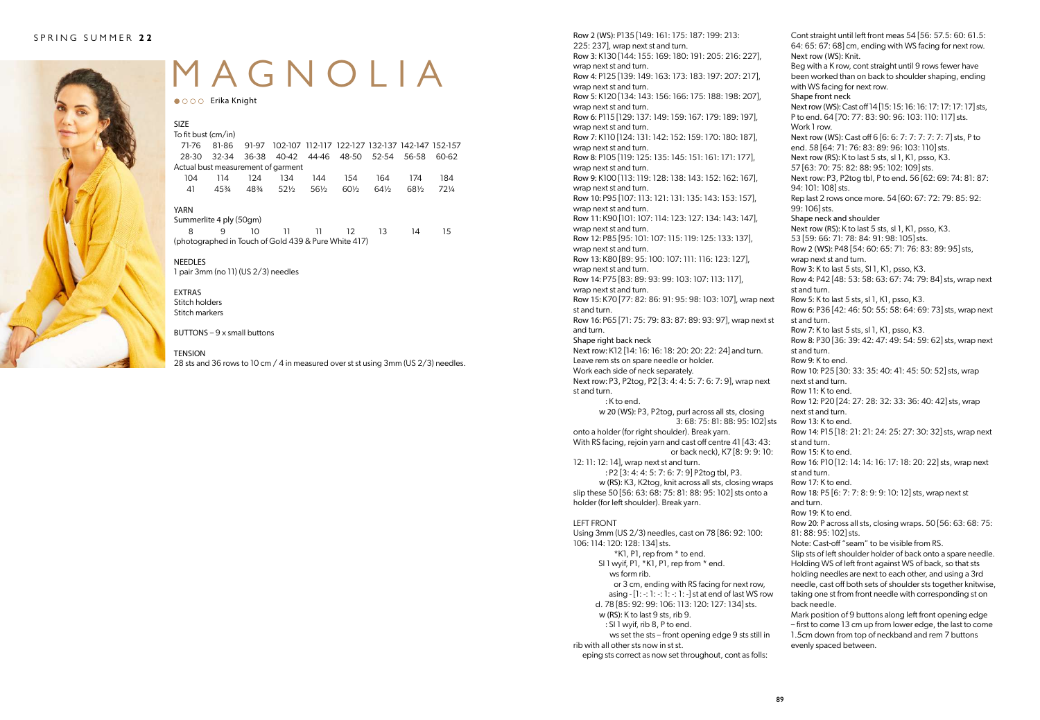

# MAGNOLIA

● ○ ○ ○ Erika Knight

| <b>SIZE</b><br>To fit bust (cm/in)                   |         |       |                         |                 |                                                 |        |       |        |
|------------------------------------------------------|---------|-------|-------------------------|-----------------|-------------------------------------------------|--------|-------|--------|
| 71-76                                                | 81-86   | 91-97 |                         |                 | 102-107 112-117 122-127 132-137 142-147 152-157 |        |       |        |
| 28-30                                                | 32-34   | 36-38 | 40-42 44-46 48-50 52-54 |                 |                                                 |        | 56-58 | 60-62  |
| Actual bust measurement of garment                   |         |       |                         |                 |                                                 |        |       |        |
| 104                                                  | 114     | 124   | 134                     | 144             | 154                                             | 164    | 174   | 184    |
| 41                                                   | $4.5\%$ | 48%   | $52\%$                  | $56\frac{1}{2}$ | $60\%$                                          | $64\%$ | 681/2 | $72\%$ |
| YARN                                                 |         |       |                         |                 |                                                 |        |       |        |
| Summerlite 4 ply (50gm)                              |         |       |                         |                 |                                                 |        |       |        |
| 8                                                    | 9       | 10    | 11                      | וו              | 12                                              | 13     | 14    | 15     |
| (photographed in Touch of Gold 439 & Pure White 417) |         |       |                         |                 |                                                 |        |       |        |

NEEDLES 1 pair 3mm (no 11) (US 2/3) needles

EXTRAS Stitch holders Stitch markers

BUTTONS – 9 x small buttons

#### **TENSION**

28 sts and 36 rows to 10 cm / 4 in measured over st st using 3mm (US 2/3) needles.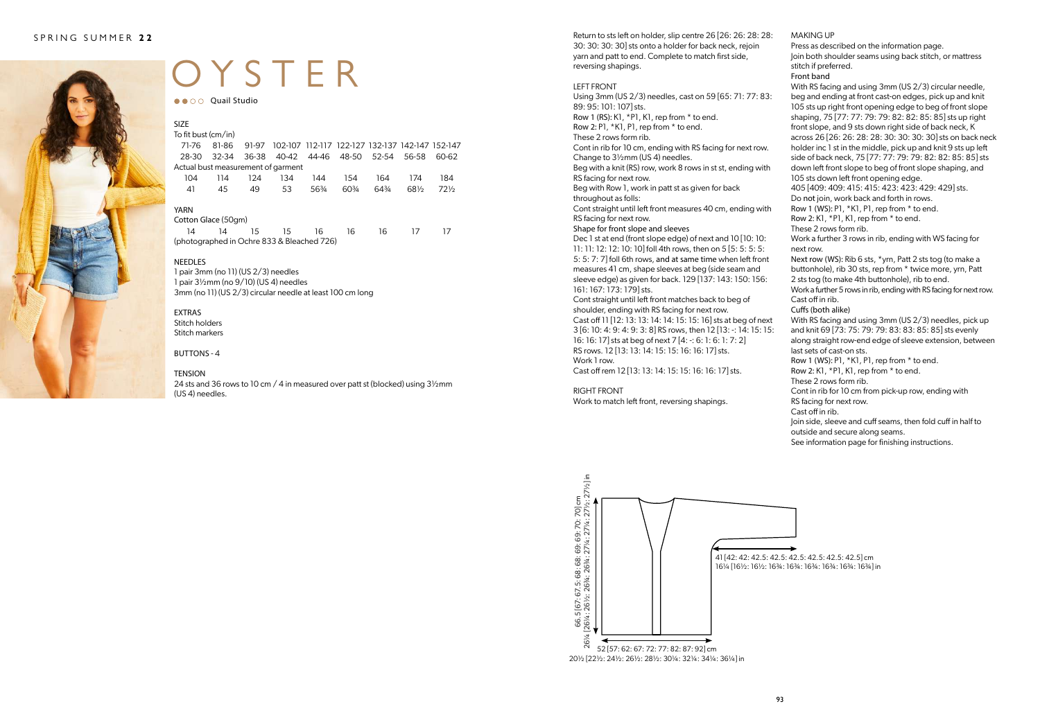

# OYSTER

●● ○ ○ Quail Studio

| <b>SIZE</b>                        |     |     |                                                             |       |      |       |       |        |
|------------------------------------|-----|-----|-------------------------------------------------------------|-------|------|-------|-------|--------|
| To fit bust (cm/in)                |     |     |                                                             |       |      |       |       |        |
| 71-76                              |     |     | 81-86 91-97 102-107 112-117 122-127 132-137 142-147 152-147 |       |      |       |       |        |
| 28-30                              |     |     | 32-34 36-38 40-42 44-46 48-50 52-54 56-58                   |       |      |       |       | 60-62  |
| Actual bust measurement of garment |     |     |                                                             |       |      |       |       |        |
| 104                                | 114 | 124 | 134                                                         | 144   | 154  | 164   | 174   | 184    |
| 41                                 | 45  | 49  | 53                                                          | 563⁄4 | 60\% | 643⁄4 | 681/2 | $72\%$ |
| YARN                               |     |     |                                                             |       |      |       |       |        |

Cotton Glace (50gm) 14 14 15 15 16 16 16 17 17 (photographed in Ochre 833 & Bleached 726)

#### NEEDLES

1 pair 3mm (no 11) (US 2/3) needles 1 pair 3½mm (no 9/10) (US 4) needles 3mm (no 11) (US 2/3) circular needle at least 100 cm long

EXTRAS Stitch holders Stitch markers

BUTTONS - 4

#### TENSION

24 sts and 36 rows to 10 cm / 4 in measured over patt st (blocked) using 3½mm (US 4) needles.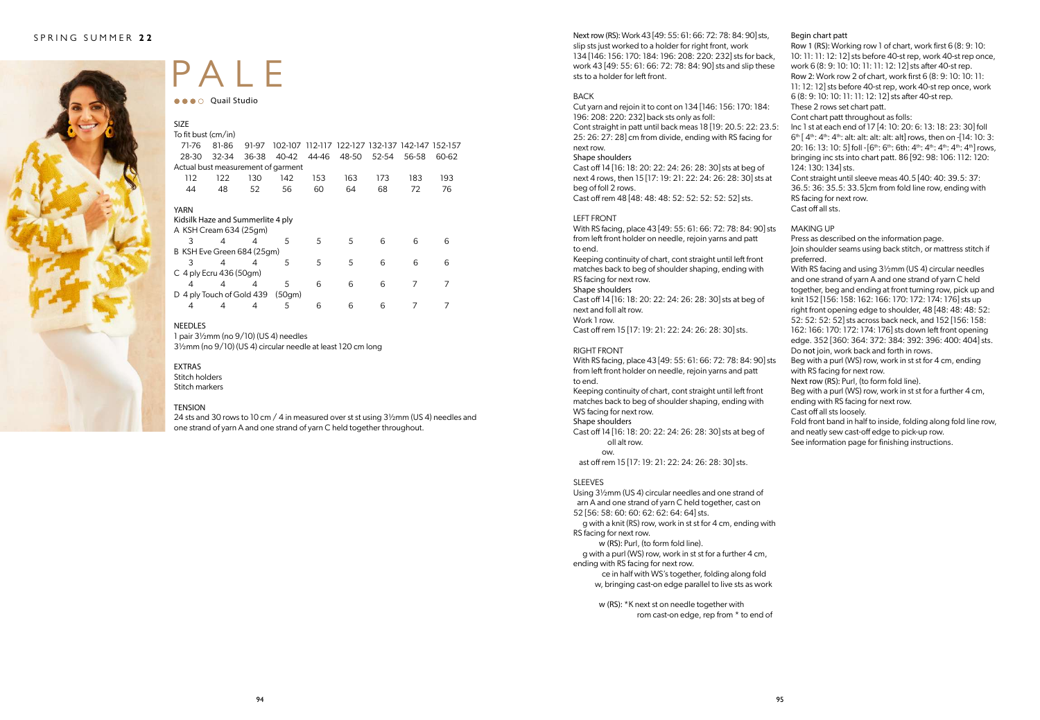

### PALE

**OCO** Quail Studio

| <b>SIZE</b>                        |                         |       |        |       |                                                 |       |       |       |
|------------------------------------|-------------------------|-------|--------|-------|-------------------------------------------------|-------|-------|-------|
| To fit bust (cm/in)                |                         |       |        |       |                                                 |       |       |       |
| 71-76                              | 81-86                   | 91-97 |        |       | 102-107 112-117 122-127 132-137 142-147 152-157 |       |       |       |
| 28-30                              | $32 - 34$               | 36-38 | 40-42  | 44-46 | 48-50                                           | 52-54 | 56-58 | 60-62 |
| Actual bust measurement of garment |                         |       |        |       |                                                 |       |       |       |
| 112                                | 122                     | 130   | 142    | 153   | 163                                             | 173   | 183   | 193   |
| 44                                 | 48                      | 52    | 56     | 60    | 64                                              | 68    | 72    | 76    |
|                                    |                         |       |        |       |                                                 |       |       |       |
| YARN                               |                         |       |        |       |                                                 |       |       |       |
| Kidsilk Haze and Summerlite 4 ply  |                         |       |        |       |                                                 |       |       |       |
| A KSH Cream 634 (25qm)             |                         |       |        |       |                                                 |       |       |       |
| 3                                  | $\overline{4}$          | 4     | 5      | 5     | 5                                               | 6     | 6     | 6     |
| B KSH Eve Green 684 (25qm)         |                         |       |        |       |                                                 |       |       |       |
| 3                                  | 4                       | 4     | 5      | 5     | 5                                               | 6     | 6     | 6     |
| $C$ 4 ply Ecru 436 (50gm)          |                         |       |        |       |                                                 |       |       |       |
| 4                                  | 4                       | 4     | 5      | 6     | 6                                               | 6     | 7     | 7     |
| D                                  | 4 ply Touch of Gold 439 |       | (50gm) |       |                                                 |       |       |       |
| 4                                  | 4                       | 4     | 5      | 6     | 6                                               | 6     |       |       |

#### NEEDLES

1 pair 3½mm (no 9/10) (US 4) needles 3½mm (no 9/10) (US 4) circular needle at least 120 cm long

#### EXTRAS

Stitch holders Stitch markers

#### TENSION

24 sts and 30 rows to 10 cm / 4 in measured over st st using 3½mm (US 4) needles and one strand of yarn A and one strand of yarn C held together throughout.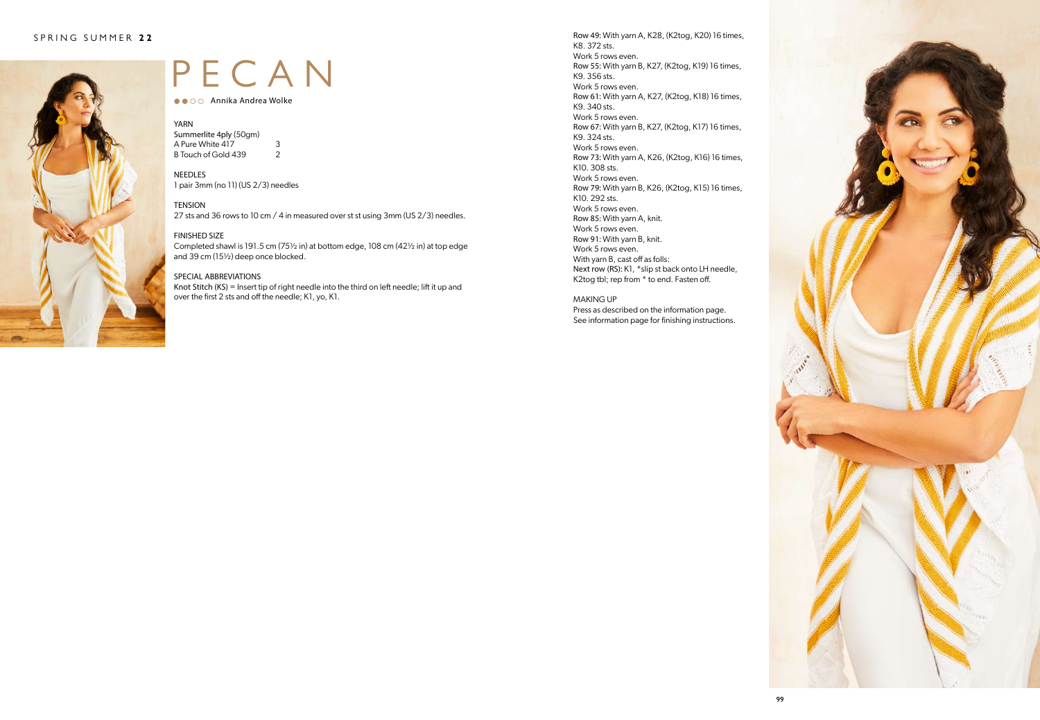

### PECAN

● ● ○ ○ Annika Andrea Wolke

### YARN<br>Summ

| Summerlite 4ply (50gm) |               |
|------------------------|---------------|
| A Pure White 417       | 3             |
| B Touch of Gold 439    | $\mathcal{P}$ |

NEEDLES 1 pair 3mm (no 11) (US 2/3) needles

**TENSION** 

27 sts and 36 rows to 10 cm / 4 in measured over st st using 3mm (US 2/3) needles.

#### FINISHED SIZE

Completed shawl is 191.5 cm (75½ in) at bottom edge, 108 cm (42½ in) at top edge and 39 cm (15½) deep once blocked.

#### SPECIAL ABBREVIATIONS

Knot Stitch (KS) = Insert tip of right needle into the third on left needle; lift it up and over the first 2 sts and off the needle; K1, yo, K1.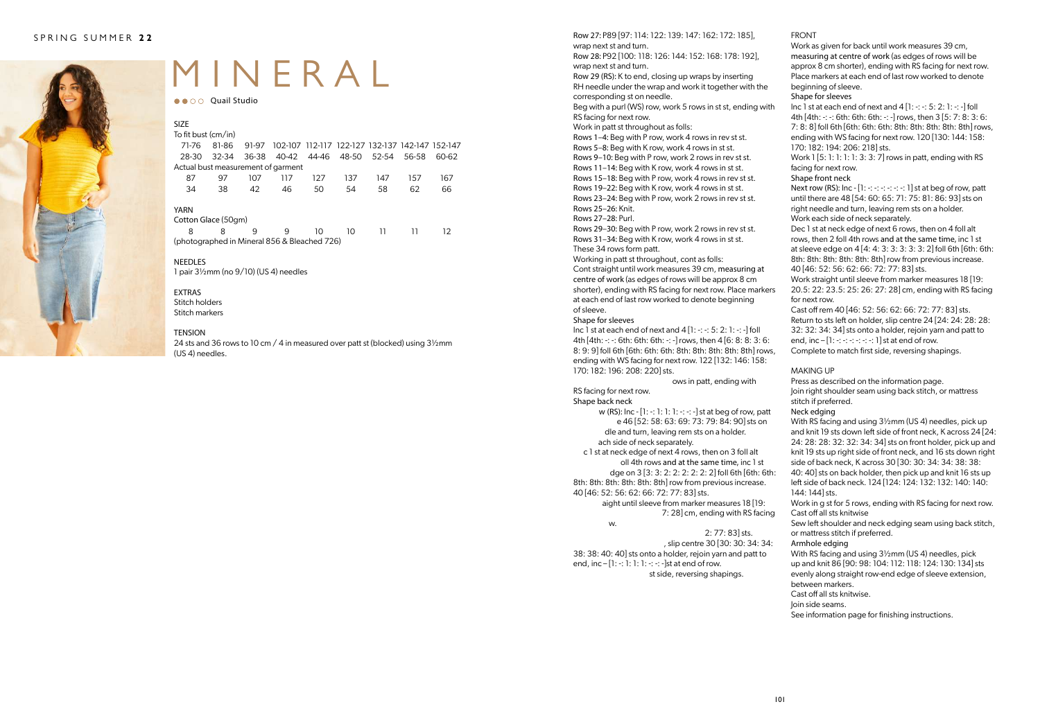

## MINERAL

●● ○ ○ Quail Studio

| <b>SIZE</b>                                  |           |       |       |       |                                                 |     |       |       |  |
|----------------------------------------------|-----------|-------|-------|-------|-------------------------------------------------|-----|-------|-------|--|
| To fit bust (cm/in)                          |           |       |       |       |                                                 |     |       |       |  |
| 71-76                                        | 81-86     | 91-97 |       |       | 102-107 112-117 122-127 132-137 142-147 152-147 |     |       |       |  |
| 28-30                                        | $32 - 34$ | 36-38 | 40-42 | 44-46 | 48-50 52-54                                     |     | 56-58 | 60-62 |  |
| Actual bust measurement of garment           |           |       |       |       |                                                 |     |       |       |  |
| 87                                           | 97        | 107   | 117   | 127   | 137                                             | 147 | 157   | 167   |  |
| 34                                           | 38        | 42    | 46    | 50    | 54                                              | 58  | 62    | 66    |  |
| YARN                                         |           |       |       |       |                                                 |     |       |       |  |
| Cotton Glace (50gm)                          |           |       |       |       |                                                 |     |       |       |  |
| 8                                            | 8         | q     | q     | 10    | 10                                              | 11  |       | 12    |  |
| (photographed in Mineral 856 & Bleached 726) |           |       |       |       |                                                 |     |       |       |  |

#### NEEDLES

1 pair 3½mm (no 9/10) (US 4) needles

#### EXTRAS Stitch holders

Stitch markers

#### TENSION

24 sts and 36 rows to 10 cm / 4 in measured over patt st (blocked) using 3½mm (US 4) needles.